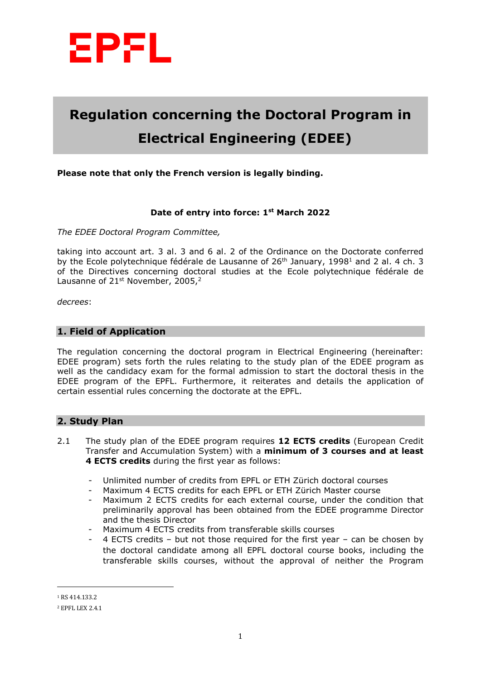

# **Regulation concerning the Doctoral Program in Electrical Engineering (EDEE)**

# **Please note that only the French version is legally binding.**

## **Date of entry into force: 1st March 2022**

*The EDEE Doctoral Program Committee,*

taking into account art. 3 al. 3 and 6 al. 2 of the Ordinance on the Doctorate conferred by the Ecole polytechnique fédérale de Lausanne of 26<sup>th</sup> January, 1998<sup>1</sup> and 2 al. 4 ch. 3 of the Directives concerning doctoral studies at the Ecole polytechnique fédérale de Lausanne of 21<sup>st</sup> November, 2005,<sup>2</sup>

*decrees*:

## **1. Field of Application**

The regulation concerning the doctoral program in Electrical Engineering (hereinafter: EDEE program) sets forth the rules relating to the study plan of the EDEE program as well as the candidacy exam for the formal admission to start the doctoral thesis in the EDEE program of the EPFL. Furthermore, it reiterates and details the application of certain essential rules concerning the doctorate at the EPFL.

#### **2. Study Plan**

- 2.1 The study plan of the EDEE program requires **12 ECTS credits** (European Credit Transfer and Accumulation System) with a **minimum of 3 courses and at least 4 ECTS credits** during the first year as follows:
	- Unlimited number of credits from EPFL or ETH Zürich doctoral courses
	- Maximum 4 ECTS credits for each EPFL or ETH Zürich Master course
	- Maximum 2 ECTS credits for each external course, under the condition that preliminarily approval has been obtained from the EDEE programme Director and the thesis Director
	- Maximum 4 ECTS credits from transferable skills courses
	- 4 ECTS credits but not those required for the first year can be chosen by the doctoral candidate among all EPFL doctoral course books, including the transferable skills courses, without the approval of neither the Program

 $\overline{a}$ 

<sup>1</sup> RS 414.133.2

<sup>2</sup> EPFL LEX 2.4.1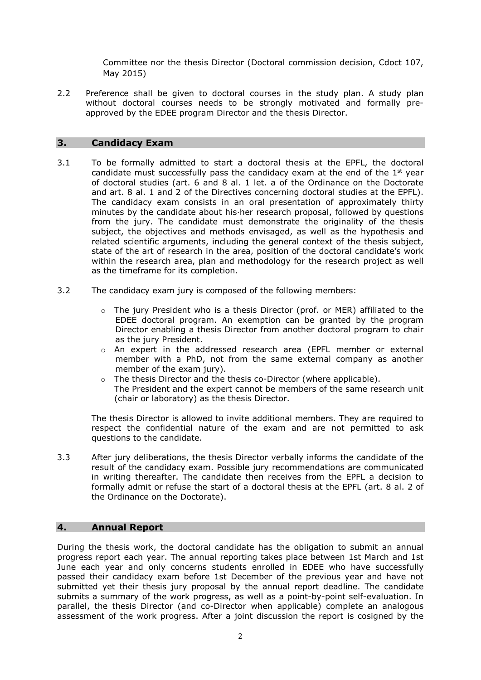Committee nor the thesis Director (Doctoral commission decision, Cdoct 107, May 2015)

2.2 Preference shall be given to doctoral courses in the study plan. A study plan without doctoral courses needs to be strongly motivated and formally preapproved by the EDEE program Director and the thesis Director.

# **3. Candidacy Exam**

- 3.1 To be formally admitted to start a doctoral thesis at the EPFL, the doctoral candidate must successfully pass the candidacy exam at the end of the  $1<sup>st</sup>$  year of doctoral studies (art. 6 and 8 al. 1 let. a of the Ordinance on the Doctorate and art. 8 al. 1 and 2 of the Directives concerning doctoral studies at the EPFL). The candidacy exam consists in an oral presentation of approximately thirty minutes by the candidate about his·her research proposal, followed by questions from the jury. The candidate must demonstrate the originality of the thesis subject, the objectives and methods envisaged, as well as the hypothesis and related scientific arguments, including the general context of the thesis subject, state of the art of research in the area, position of the doctoral candidate's work within the research area, plan and methodology for the research project as well as the timeframe for its completion.
- 3.2 The candidacy exam jury is composed of the following members:
	- $\circ$  The jury President who is a thesis Director (prof. or MER) affiliated to the EDEE doctoral program. An exemption can be granted by the program Director enabling a thesis Director from another doctoral program to chair as the jury President.
	- o An expert in the addressed research area (EPFL member or external member with a PhD, not from the same external company as another member of the exam jury).
	- o The thesis Director and the thesis co-Director (where applicable). The President and the expert cannot be members of the same research unit (chair or laboratory) as the thesis Director.

The thesis Director is allowed to invite additional members. They are required to respect the confidential nature of the exam and are not permitted to ask questions to the candidate.

3.3 After jury deliberations, the thesis Director verbally informs the candidate of the result of the candidacy exam. Possible jury recommendations are communicated in writing thereafter. The candidate then receives from the EPFL a decision to formally admit or refuse the start of a doctoral thesis at the EPFL (art. 8 al. 2 of the Ordinance on the Doctorate).

## **4. Annual Report**

During the thesis work, the doctoral candidate has the obligation to submit an annual progress report each year. The annual reporting takes place between 1st March and 1st June each year and only concerns students enrolled in EDEE who have successfully passed their candidacy exam before 1st December of the previous year and have not submitted yet their thesis jury proposal by the annual report deadline. The candidate submits a summary of the work progress, as well as a point-by-point self-evaluation. In parallel, the thesis Director (and co-Director when applicable) complete an analogous assessment of the work progress. After a joint discussion the report is cosigned by the